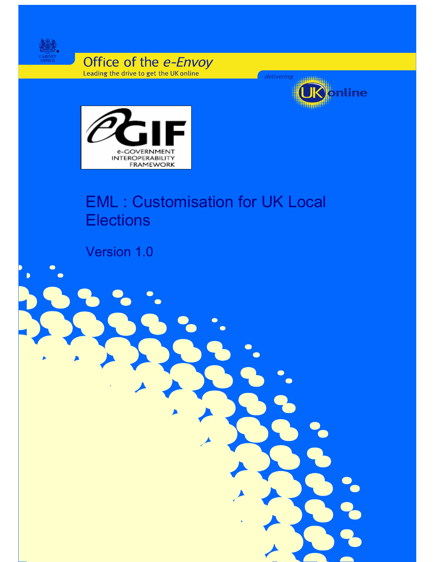

Office of the e-Envoy



 $\blacktriangledown$ 



# EML : Customisation for UK Local **Elections**

**Error! No text of specified style in document.** 1

Version 1.0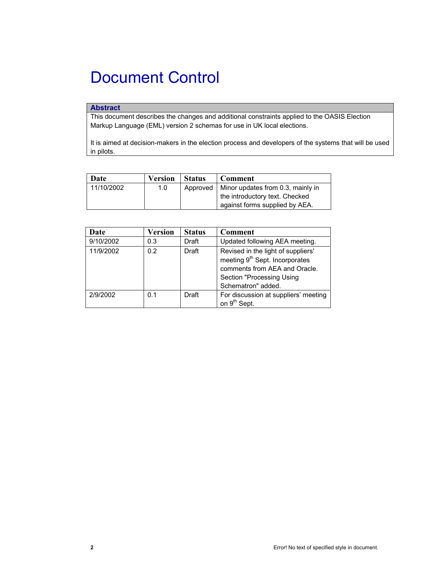# Document Control

# **Abstract**

This document describes the changes and additional constraints applied to the OASIS Election Markup Language (EML) version 2 schemas for use in UK local elections.

It is aimed at decision-makers in the election process and developers of the systems that will be used in pilots.

| Date       | <b>Version</b> | <b>Status</b> | <b>Comment</b>                               |
|------------|----------------|---------------|----------------------------------------------|
| 11/10/2002 | 1.0            |               | Approved   Minor updates from 0.3, mainly in |
|            |                |               | the introductory text. Checked               |
|            |                |               | against forms supplied by AEA.               |

| Date      | Version | <b>Status</b> | Comment                                                                                                                                                              |
|-----------|---------|---------------|----------------------------------------------------------------------------------------------------------------------------------------------------------------------|
| 9/10/2002 | 0.3     | Draft         | Updated following AEA meeting.                                                                                                                                       |
| 11/9/2002 | 0.2     | Draft         | Revised in the light of suppliers'<br>meeting 9 <sup>th</sup> Sept. Incorporates<br>comments from AEA and Oracle.<br>Section "Processing Using<br>Schematron" added. |
| 2/9/2002  | 0.1     | Draft         | For discussion at suppliers' meeting<br>on 9 <sup>th</sup> Sept.                                                                                                     |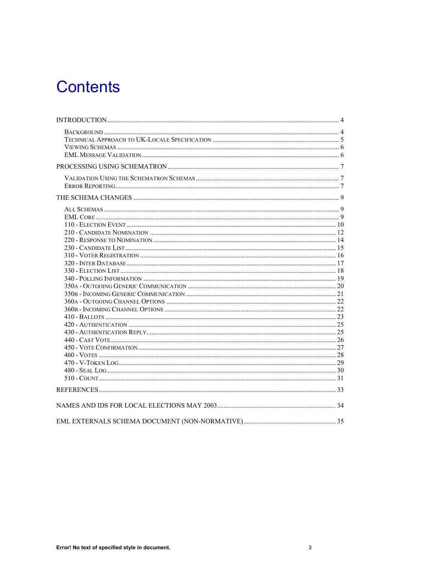# **Contents**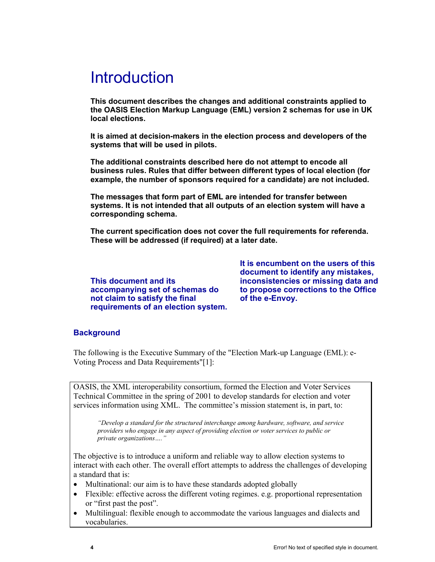# Introduction

**This document describes the changes and additional constraints applied to the OASIS Election Markup Language (EML) version 2 schemas for use in UK local elections.** 

**It is aimed at decision-makers in the election process and developers of the systems that will be used in pilots.** 

**The additional constraints described here do not attempt to encode all business rules. Rules that differ between different types of local election (for example, the number of sponsors required for a candidate) are not included.** 

**The messages that form part of EML are intended for transfer between systems. It is not intended that all outputs of an election system will have a corresponding schema.** 

**The current specification does not cover the full requirements for referenda. These will be addressed (if required) at a later date.** 

**This document and its accompanying set of schemas do not claim to satisfy the final requirements of an election system.** 

**It is encumbent on the users of this document to identify any mistakes, inconsistencies or missing data and to propose corrections to the Office of the e-Envoy.**

# **Background**

The following is the Executive Summary of the "Election Mark-up Language (EML): e-Voting Process and Data Requirements"[1]:

OASIS, the XML interoperability consortium, formed the Election and Voter Services Technical Committee in the spring of 2001 to develop standards for election and voter services information using XML. The committee's mission statement is, in part, to:

*"Develop a standard for the structured interchange among hardware, software, and service providers who engage in any aspect of providing election or voter services to public or private organizations…."* 

The objective is to introduce a uniform and reliable way to allow election systems to interact with each other. The overall effort attempts to address the challenges of developing a standard that is:

- Multinational: our aim is to have these standards adopted globally
- Flexible: effective across the different voting regimes. e.g. proportional representation or "first past the post".
- Multilingual: flexible enough to accommodate the various languages and dialects and vocabularies.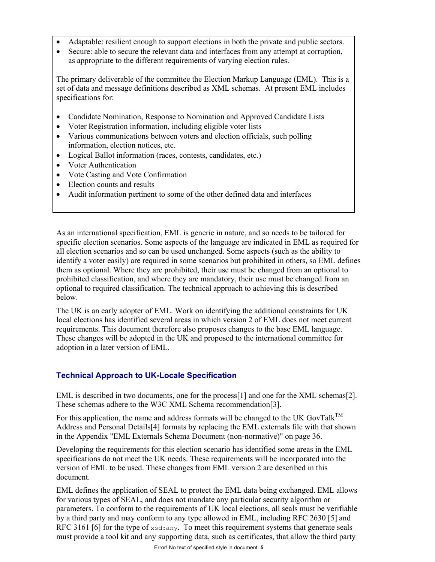- Adaptable: resilient enough to support elections in both the private and public sectors.
- Secure: able to secure the relevant data and interfaces from any attempt at corruption, as appropriate to the different requirements of varying election rules.

The primary deliverable of the committee the Election Markup Language (EML). This is a set of data and message definitions described as XML schemas. At present EML includes specifications for:

- Candidate Nomination, Response to Nomination and Approved Candidate Lists
- Voter Registration information, including eligible voter lists
- Various communications between voters and election officials, such polling information, election notices, etc.
- Logical Ballot information (races, contests, candidates, etc.)
- Voter Authentication
- Vote Casting and Vote Confirmation
- Election counts and results
- Audit information pertinent to some of the other defined data and interfaces

As an international specification, EML is generic in nature, and so needs to be tailored for specific election scenarios. Some aspects of the language are indicated in EML as required for all election scenarios and so can be used unchanged. Some aspects (such as the ability to identify a voter easily) are required in some scenarios but prohibited in others, so EML defines them as optional. Where they are prohibited, their use must be changed from an optional to prohibited classification, and where they are mandatory, their use must be changed from an optional to required classification. The technical approach to achieving this is described below.

The UK is an early adopter of EML. Work on identifying the additional constraints for UK local elections has identified several areas in which version 2 of EML does not meet current requirements. This document therefore also proposes changes to the base EML language. These changes will be adopted in the UK and proposed to the international committee for adoption in a later version of EML.

# **Technical Approach to UK-Locale Specification**

EML is described in two documents, one for the process[1] and one for the XML schemas[2]. These schemas adhere to the W3C XML Schema recommendation[3].

For this application, the name and address formats will be changed to the UK GovTal $k^{TM}$ Address and Personal Details[4] formats by replacing the EML externals file with that shown in the Appendix "EML Externals Schema Document (non-normative)" on page 36.

Developing the requirements for this election scenario has identified some areas in the EML specifications do not meet the UK needs. These requirements will be incorporated into the version of EML to be used. These changes from EML version 2 are described in this document.

EML defines the application of SEAL to protect the EML data being exchanged. EML allows for various types of SEAL, and does not mandate any particular security algorithm or parameters. To conform to the requirements of UK local elections, all seals must be verifiable by a third party and may conform to any type allowed in EML, including RFC 2630 [5] and RFC 3161 [6] for the type of  $xsd:any$ . To meet this requirement systems that generate seals must provide a tool kit and any supporting data, such as certificates, that allow the third party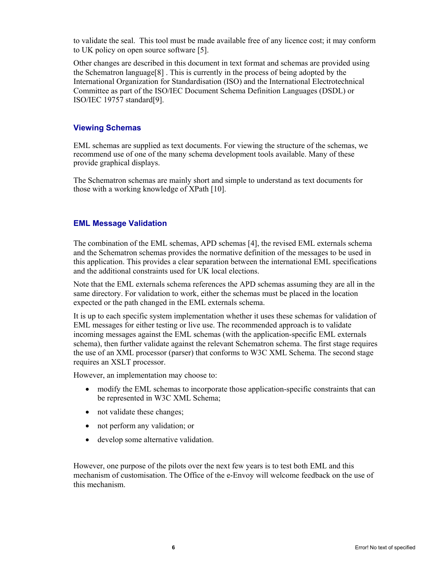to validate the seal. This tool must be made available free of any licence cost; it may conform to UK policy on open source software [5].

Other changes are described in this document in text format and schemas are provided using the Schematron language[8] . This is currently in the process of being adopted by the International Organization for Standardisation (ISO) and the International Electrotechnical Committee as part of the ISO/IEC Document Schema Definition Languages (DSDL) or ISO/IEC 19757 standard[9].

# **Viewing Schemas**

EML schemas are supplied as text documents. For viewing the structure of the schemas, we recommend use of one of the many schema development tools available. Many of these provide graphical displays.

The Schematron schemas are mainly short and simple to understand as text documents for those with a working knowledge of XPath [10].

# **EML Message Validation**

The combination of the EML schemas, APD schemas [4], the revised EML externals schema and the Schematron schemas provides the normative definition of the messages to be used in this application. This provides a clear separation between the international EML specifications and the additional constraints used for UK local elections.

Note that the EML externals schema references the APD schemas assuming they are all in the same directory. For validation to work, either the schemas must be placed in the location expected or the path changed in the EML externals schema.

It is up to each specific system implementation whether it uses these schemas for validation of EML messages for either testing or live use. The recommended approach is to validate incoming messages against the EML schemas (with the application-specific EML externals schema), then further validate against the relevant Schematron schema. The first stage requires the use of an XML processor (parser) that conforms to W3C XML Schema. The second stage requires an XSLT processor.

However, an implementation may choose to:

- modify the EML schemas to incorporate those application-specific constraints that can be represented in W3C XML Schema;
- not validate these changes;
- not perform any validation; or
- develop some alternative validation.

However, one purpose of the pilots over the next few years is to test both EML and this mechanism of customisation. The Office of the e-Envoy will welcome feedback on the use of this mechanism.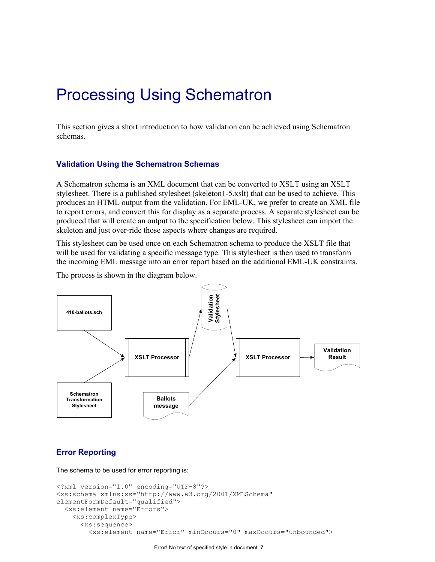# Processing Using Schematron

This section gives a short introduction to how validation can be achieved using Schematron schemas.

#### **Validation Using the Schematron Schemas**

A Schematron schema is an XML document that can be converted to XSLT using an XSLT stylesheet. There is a published stylesheet (skeleton1-5.xslt) that can be used to achieve. This produces an HTML output from the validation. For EML-UK, we prefer to create an XML file to report errors, and convert this for display as a separate process. A separate stylesheet can be produced that will create an output to the specification below. This stylesheet can import the skeleton and just over-ride those aspects where changes are required.

This stylesheet can be used once on each Schematron schema to produce the XSLT file that will be used for validating a specific message type. This stylesheet is then used to transform the incoming EML message into an error report based on the additional EML-UK constraints.

The process is shown in the diagram below.



# **Error Reporting**

The schema to be used for error reporting is:

```
<?xml version="1.0" encoding="UTF-8"?> 
<xs:schema xmlns:xs="http://www.w3.org/2001/XMLSchema" 
elementFormDefault="qualified"> 
   <xs:element name="Errors"> 
     <xs:complexType> 
       <xs:sequence> 
         <xs:element name="Error" minOccurs="0" maxOccurs="unbounded">
```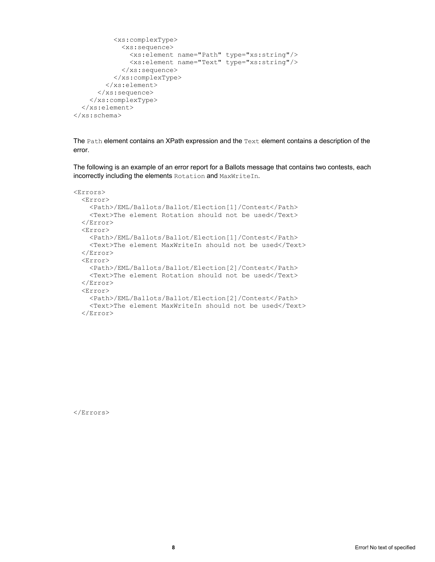```
 <xs:complexType> 
              <xs:sequence> 
                <xs:element name="Path" type="xs:string"/> 
                <xs:element name="Text" type="xs:string"/> 
              </xs:sequence> 
            </xs:complexType> 
         </xs:element> 
       </xs:sequence> 
     </xs:complexType> 
   </xs:element> 
</xs:schema>
```
The Path element contains an XPath expression and the Text element contains a description of the error.

The following is an example of an error report for a Ballots message that contains two contests, each incorrectly including the elements Rotation and MaxWriteIn.

```
<Errors> 
   <Error> 
     <Path>/EML/Ballots/Ballot/Election[1]/Contest</Path> 
     <Text>The element Rotation should not be used</Text> 
   </Error> 
   <Error> 
     <Path>/EML/Ballots/Ballot/Election[1]/Contest</Path> 
     <Text>The element MaxWriteIn should not be used</Text> 
   </Error> 
   <Error> 
     <Path>/EML/Ballots/Ballot/Election[2]/Contest</Path> 
     <Text>The element Rotation should not be used</Text> 
   </Error> 
   <Error> 
     <Path>/EML/Ballots/Ballot/Election[2]/Contest</Path> 
     <Text>The element MaxWriteIn should not be used</Text> 
   </Error>
```
</Errors>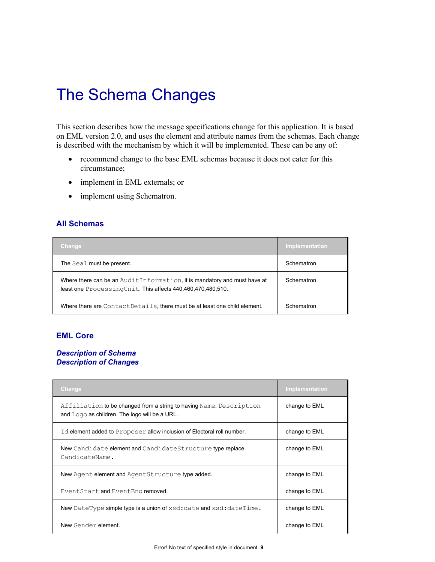# The Schema Changes

This section describes how the message specifications change for this application. It is based on EML version 2.0, and uses the element and attribute names from the schemas. Each change is described with the mechanism by which it will be implemented. These can be any of:

- recommend change to the base EML schemas because it does not cater for this circumstance;
- implement in EML externals; or
- implement using Schematron.

# **All Schemas**

| <b>Change</b>                                                                                                                           | Implementation |
|-----------------------------------------------------------------------------------------------------------------------------------------|----------------|
| The Seal must be present.                                                                                                               | Schematron     |
| Where there can be an AuditInformation, it is mandatory and must have at<br>least one ProcessingUnit. This affects 440,460,470,480,510. | Schematron     |
| Where there are ContactDetails, there must be at least one child element.                                                               | Schematron     |

# **EML Core**

# *Description of Schema Description of Changes*

| Change                                                                                                               | Implementation |
|----------------------------------------------------------------------------------------------------------------------|----------------|
| Affiliation to be changed from a string to having Name, Description<br>and Logo as children. The logo will be a URL. | change to EML  |
| Id element added to Proposer allow inclusion of Electoral roll number.                                               | change to EML  |
| New Candidate element and CandidateStructure type replace<br>CandidateName.                                          | change to EML  |
| New Agent element and AgentStructure type added.                                                                     | change to EML  |
| EventStart and EventEnd removed.                                                                                     | change to EML  |
| New DateType simple type is a union of xsd: date and xsd: dateTime.                                                  | change to EML  |
| New Gender element.                                                                                                  | change to EML  |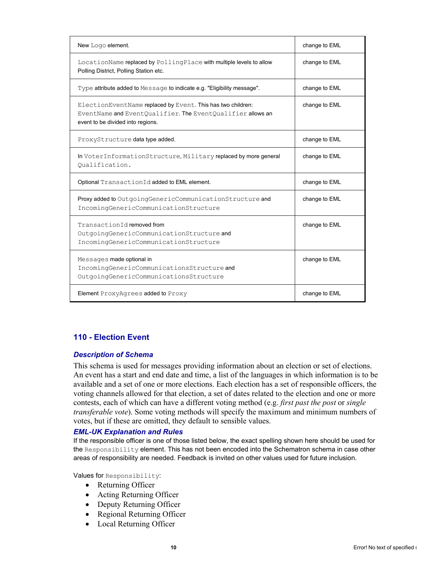| New Logo element.                                                                                                                                              | change to EML |
|----------------------------------------------------------------------------------------------------------------------------------------------------------------|---------------|
| LocationName replaced by PollingPlace with multiple levels to allow<br>Polling District, Polling Station etc.                                                  | change to EML |
| Type attribute added to Message to indicate e.g. "Eligibility message".                                                                                        | change to EML |
| ElectionEventName replaced by Event. This has two children:<br>EventName and EventOualifier. The EventOualifier allows an<br>event to be divided into regions. | change to EML |
| ProxyStructure data type added.                                                                                                                                | change to EML |
| In VoterInformationStructure, Military replaced by more general<br>Oualification.                                                                              | change to EML |
| Optional TransactionId added to EML element.                                                                                                                   | change to EML |
| Proxy added to OutgoingGenericCommunicationStructure and<br>IncomingGenericCommunicationStructure                                                              | change to EML |
| TransactionId removed from<br>OutgoingGenericCommunicationStructure and<br>IncomingGenericCommunicationStructure                                               | change to EML |
| Messages made optional in<br>IncomingGenericCommunicationsStructure and<br>OutgoingGenericCommunicationsStructure                                              | change to EML |
| Element ProxyAgrees added to Proxy                                                                                                                             | change to EML |

# **110 - Election Event**

#### *Description of Schema*

This schema is used for messages providing information about an election or set of elections. An event has a start and end date and time, a list of the languages in which information is to be available and a set of one or more elections. Each election has a set of responsible officers, the voting channels allowed for that election, a set of dates related to the election and one or more contests, each of which can have a different voting method (e.g. *first past the post* or *single transferable vote*). Some voting methods will specify the maximum and minimum numbers of votes, but if these are omitted, they default to sensible values.

#### *EML-UK Explanation and Rules*

If the responsible officer is one of those listed below, the exact spelling shown here should be used for the Responsibility element. This has not been encoded into the Schematron schema in case other areas of responsibility are needed. Feedback is invited on other values used for future inclusion.

Values for Responsibility:

- Returning Officer
- Acting Returning Officer
- Deputy Returning Officer
- Regional Returning Officer
- Local Returning Officer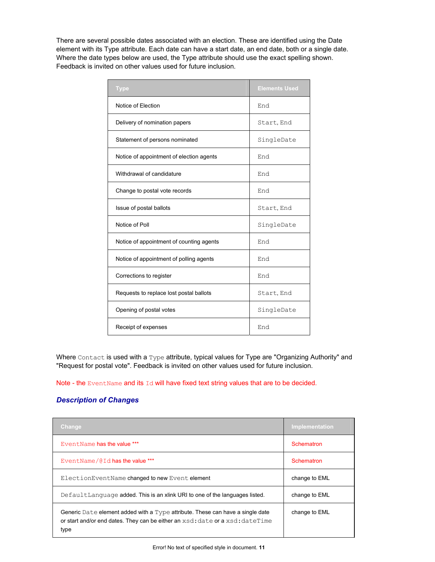There are several possible dates associated with an election. These are identified using the Date element with its Type attribute. Each date can have a start date, an end date, both or a single date. Where the date types below are used, the Type attribute should use the exact spelling shown. Feedback is invited on other values used for future inclusion.

| <b>Type</b>                              | <b>Elements Used</b> |
|------------------------------------------|----------------------|
| Notice of Election                       | End                  |
| Delivery of nomination papers            | Start, End           |
| Statement of persons nominated           | SingleDate           |
| Notice of appointment of election agents | End                  |
| Withdrawal of candidature                | End                  |
| Change to postal vote records            | End                  |
| Issue of postal ballots                  | Start, End           |
| Notice of Poll                           | SingleDate           |
| Notice of appointment of counting agents | End                  |
| Notice of appointment of polling agents  | End                  |
| Corrections to register                  | End                  |
| Requests to replace lost postal ballots  | Start, End           |
| Opening of postal votes                  | SingleDate           |
| Receipt of expenses                      | End                  |

Where Contact is used with a Type attribute, typical values for Type are "Organizing Authority" and "Request for postal vote". Feedback is invited on other values used for future inclusion.

Note - the EventName and its Id will have fixed text string values that are to be decided.

| Change                                                                                                                                                                  | Implementation |
|-------------------------------------------------------------------------------------------------------------------------------------------------------------------------|----------------|
| EventName has the value ***                                                                                                                                             | Schematron     |
| EventName/@Id has the value ***                                                                                                                                         | Schematron     |
| ElectionEventName changed to new Event element                                                                                                                          | change to EML  |
| DefaultLanguage added. This is an xlink URI to one of the languages listed.                                                                                             | change to EML  |
| Generic Date element added with a Type attribute. These can have a single date<br>or start and/or end dates. They can be either an xsd: date or a xsd: dateTime<br>type | change to EML  |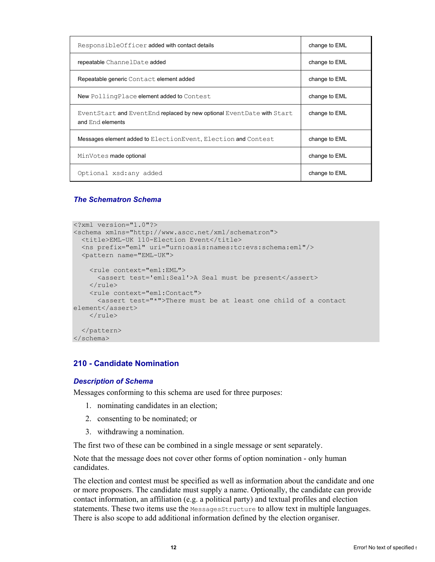| ResponsibleOfficer added with contact details                                             | change to EML |
|-------------------------------------------------------------------------------------------|---------------|
| repeatable ChannelDate added                                                              | change to EML |
| Repeatable generic Contact element added                                                  | change to EML |
| New PollingPlace element added to Contest                                                 | change to EML |
| EventStart and EventEnd replaced by new optional EventDate with Start<br>and End elements | change to EML |
| Messages element added to ElectionEvent, Election and Contest                             | change to EML |
| MinVotes made optional                                                                    | change to EML |
| Optional xsd: any added                                                                   | change to EML |

```
<?xml version="1.0"?> 
<schema xmlns="http://www.ascc.net/xml/schematron"> 
  <title>EML-UK 110-Election Event</title> 
   <ns prefix="eml" uri="urn:oasis:names:tc:evs:schema:eml"/> 
   <pattern name="EML-UK"> 
     <rule context="eml:EML"> 
      <assert test='eml:Seal'>A Seal must be present</assert> 
    \langle/rule\rangle <rule context="eml:Contact"> 
       <assert test="*">There must be at least one child of a contact 
element</assert> 
    </rule> 
   </pattern> 
</schema>
```
# **210 - Candidate Nomination**

#### *Description of Schema*

Messages conforming to this schema are used for three purposes:

- 1. nominating candidates in an election;
- 2. consenting to be nominated; or
- 3. withdrawing a nomination.

The first two of these can be combined in a single message or sent separately.

Note that the message does not cover other forms of option nomination - only human candidates.

The election and contest must be specified as well as information about the candidate and one or more proposers. The candidate must supply a name. Optionally, the candidate can provide contact information, an affiliation (e.g. a political party) and textual profiles and election statements. These two items use the MessagesStructure to allow text in multiple languages. There is also scope to add additional information defined by the election organiser.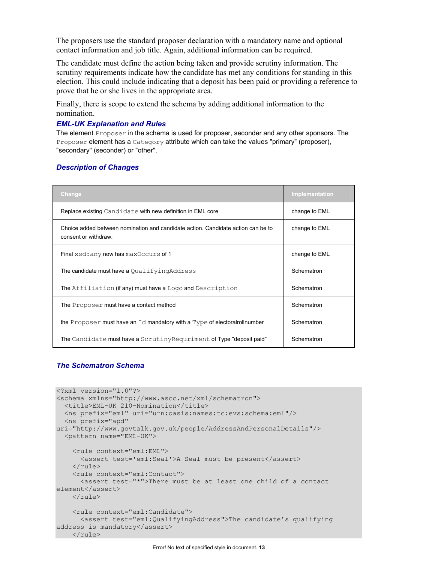The proposers use the standard proposer declaration with a mandatory name and optional contact information and job title. Again, additional information can be required.

The candidate must define the action being taken and provide scrutiny information. The scrutiny requirements indicate how the candidate has met any conditions for standing in this election. This could include indicating that a deposit has been paid or providing a reference to prove that he or she lives in the appropriate area.

Finally, there is scope to extend the schema by adding additional information to the nomination.

#### *EML-UK Explanation and Rules*

The element Proposer in the schema is used for proposer, seconder and any other sponsors. The Proposer element has a Category attribute which can take the values "primary" (proposer), "secondary" (seconder) or "other".

#### *Description of Changes*

| Change                                                                                                  | <b>Implementation</b> |
|---------------------------------------------------------------------------------------------------------|-----------------------|
| Replace existing Candidate with new definition in EML core                                              | change to EML         |
| Choice added between nomination and candidate action. Candidate action can be to<br>consent or withdraw | change to EML         |
| Final xsd: any now has max Occurs of 1                                                                  | change to EML         |
| The candidate must have a QualifyingAddress                                                             | Schematron            |
| The Affiliation (if any) must have a Logo and Description                                               | Schematron            |
| The Proposer must have a contact method                                                                 | Schematron            |
| the Proposer must have an Id mandatory with a Type of electoral rollnumber                              | Schematron            |
| The Candidate must have a Scrutiny Requriment of Type "deposit paid"                                    | Schematron            |

```
<?xml version="1.0"?> 
<schema xmlns="http://www.ascc.net/xml/schematron"> 
 <title>EML-UK 210-Nomination</title>
  <ns prefix="eml" uri="urn:oasis:names:tc:evs:schema:eml"/> 
  <ns prefix="apd" 
uri="http://www.govtalk.gov.uk/people/AddressAndPersonalDetails"/> 
   <pattern name="EML-UK"> 
    <rule context="eml:EML"> 
      <assert test='eml:Seal'>A Seal must be present</assert> 
    \langle/rule\rangle <rule context="eml:Contact"> 
      <assert test="*">There must be at least one child of a contact 
element</assert> 
    \langlerule>
     <rule context="eml:Candidate"> 
      <assert test="eml:QualifyingAddress">The candidate's qualifying 
address is mandatory</assert>
    </rule>
```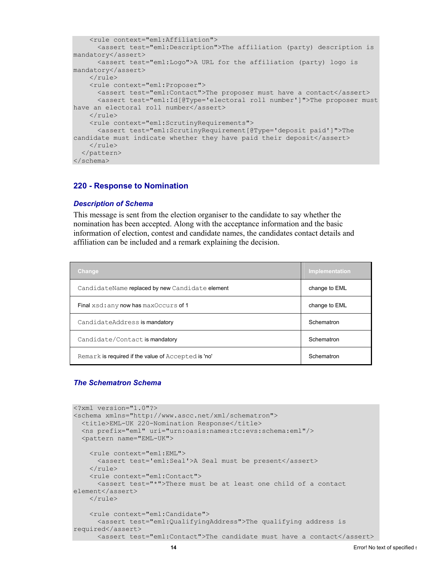```
 <rule context="eml:Affiliation"> 
       <assert test="eml:Description">The affiliation (party) description is 
mandatory</assert> 
       <assert test="eml:Logo">A URL for the affiliation (party) logo is 
mandatory</assert> 
    \langle/rule\rangle <rule context="eml:Proposer"> 
      <assert test="eml:Contact">The proposer must have a contact</assert>
       <assert test="eml:Id[@Type='electoral roll number']">The proposer must 
have an electoral roll number</assert>
    \langle/rule\rangle <rule context="eml:ScrutinyRequirements"> 
       <assert test="eml:ScrutinyRequirement[@Type='deposit paid']">The 
candidate must indicate whether they have paid their deposit</assert>
    \langle/rule>
   </pattern> 
</schema>
```
#### **220 - Response to Nomination**

#### *Description of Schema*

This message is sent from the election organiser to the candidate to say whether the nomination has been accepted. Along with the acceptance information and the basic information of election, contest and candidate names, the candidates contact details and affiliation can be included and a remark explaining the decision.

| Change                                              | Implementation |
|-----------------------------------------------------|----------------|
| CandidateName replaced by new Candidate element     | change to EML  |
| Final xsd: any now has max Occurs of 1              | change to EML  |
| CandidateAddress is mandatory                       | Schematron     |
| Candidate/Contact is mandatory                      | Schematron     |
| Remark is required if the value of Accepted is 'no' | Schematron     |

```
<?xml version="1.0"?> 
<schema xmlns="http://www.ascc.net/xml/schematron"> 
   <title>EML-UK 220-Nomination Response</title> 
   <ns prefix="eml" uri="urn:oasis:names:tc:evs:schema:eml"/> 
   <pattern name="EML-UK"> 
     <rule context="eml:EML"> 
       <assert test='eml:Seal'>A Seal must be present</assert> 
    \langlerule\rangle <rule context="eml:Contact"> 
       <assert test="*">There must be at least one child of a contact 
element</assert> 
    \langle/rule>
     <rule context="eml:Candidate"> 
       <assert test="eml:QualifyingAddress">The qualifying address is 
required</assert> 
       <assert test="eml:Contact">The candidate must have a contact</assert>
```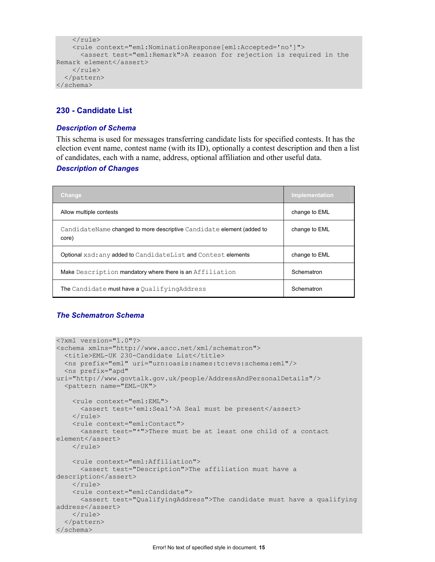```
\langle/rule\rangle <rule context="eml:NominationResponse[eml:Accepted='no']"> 
       <assert test="eml:Remark">A reason for rejection is required in the 
Remark element</assert> 
    \langle/rule\rangle </pattern> 
</schema>
```
# **230 - Candidate List**

#### *Description of Schema*

This schema is used for messages transferring candidate lists for specified contests. It has the election event name, contest name (with its ID), optionally a contest description and then a list of candidates, each with a name, address, optional affiliation and other useful data.

#### *Description of Changes*

| <b>Change</b>                                                                  | Implementation |
|--------------------------------------------------------------------------------|----------------|
| Allow multiple contests                                                        | change to EML  |
| CandidateName changed to more descriptive Candidate element (added to<br>core) | change to EML  |
| Optional xsd: any added to CandidateList and Contest elements                  | change to EML  |
| Make Description mandatory where there is an Affiliation                       | Schematron     |
| The Candidate must have a Qualifying Address                                   | Schematron     |

```
<?xml version="1.0"?> 
<schema xmlns="http://www.ascc.net/xml/schematron"> 
   <title>EML-UK 230-Candidate List</title> 
   <ns prefix="eml" uri="urn:oasis:names:tc:evs:schema:eml"/> 
  <ns prefix="apd" 
uri="http://www.govtalk.gov.uk/people/AddressAndPersonalDetails"/> 
   <pattern name="EML-UK"> 
     <rule context="eml:EML"> 
       <assert test='eml:Seal'>A Seal must be present</assert> 
    \langle/rule\rangle <rule context="eml:Contact"> 
       <assert test="*">There must be at least one child of a contact 
element</assert> 
     </rule> 
     <rule context="eml:Affiliation"> 
       <assert test="Description">The affiliation must have a 
description</assert> 
    </rule> 
     <rule context="eml:Candidate"> 
       <assert test="QualifyingAddress">The candidate must have a qualifying 
address</assert> 
     </rule> 
   </pattern> 
</schema>
```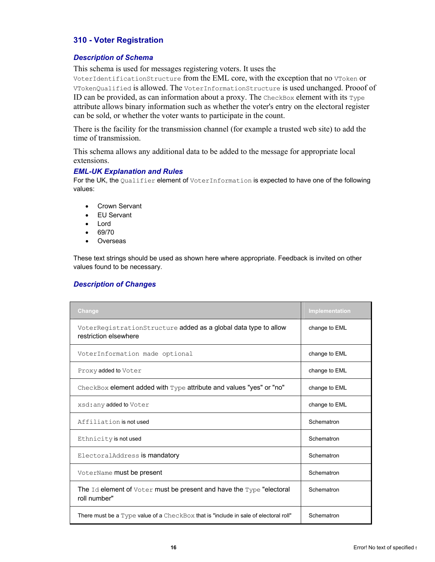# **310 - Voter Registration**

#### *Description of Schema*

This schema is used for messages registering voters. It uses the

VoterIdentificationStructure from the EML core, with the exception that no VToken or VTokenQualified is allowed. The VoterInformationStructure is used unchanged. Prooof of ID can be provided, as can information about a proxy. The  $\text{CheckBox}$  element with its  $\text{Type}$ attribute allows binary information such as whether the voter's entry on the electoral register can be sold, or whether the voter wants to participate in the count.

There is the facility for the transmission channel (for example a trusted web site) to add the time of transmission.

This schema allows any additional data to be added to the message for appropriate local extensions.

#### *EML-UK Explanation and Rules*

For the UK, the Qualifier element of VoterInformation is expected to have one of the following values:

- Crown Servant
- EU Servant
- Lord
- 69/70
- Overseas

These text strings should be used as shown here where appropriate. Feedback is invited on other values found to be necessary.

| Change                                                                                     | Implementation |
|--------------------------------------------------------------------------------------------|----------------|
| VoterRegistrationStructure added as a global data type to allow<br>restriction elsewhere   | change to EML  |
| VoterInformation made optional                                                             | change to EML  |
| Proxy added to Voter                                                                       | change to EML  |
| CheckBox element added with Type attribute and values "yes" or "no"                        | change to EML  |
| xsd: any added to Voter                                                                    | change to EML  |
| Affiliation is not used                                                                    | Schematron     |
| Ethnicity is not used                                                                      | Schematron     |
| ElectoralAddress is mandatory                                                              | Schematron     |
| VoterName must be present                                                                  | Schematron     |
| The $Id$ element of $Voter$ must be present and have the $Type$ "electoral<br>roll number" | Schematron     |
| There must be a Type value of a CheckBox that is "include in sale of electoral roll"       | Schematron     |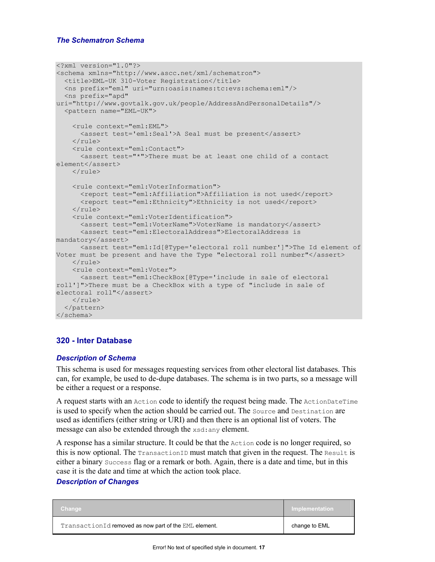```
<?xml version="1.0"?> 
<schema xmlns="http://www.ascc.net/xml/schematron"> 
   <title>EML-UK 310-Voter Registration</title> 
   <ns prefix="eml" uri="urn:oasis:names:tc:evs:schema:eml"/> 
  <ns prefix="apd" 
uri="http://www.govtalk.gov.uk/people/AddressAndPersonalDetails"/> 
   <pattern name="EML-UK"> 
     <rule context="eml:EML"> 
       <assert test='eml:Seal'>A Seal must be present</assert> 
    \langle/rule>
     <rule context="eml:Contact"> 
       <assert test="*">There must be at least one child of a contact 
element</assert> 
    \langle/rule\rangle <rule context="eml:VoterInformation"> 
       <report test="eml:Affiliation">Affiliation is not used</report> 
       <report test="eml:Ethnicity">Ethnicity is not used</report> 
    \langlerule\rangle <rule context="eml:VoterIdentification"> 
      <assert test="eml:VoterName">VoterName is mandatory</assert>
       <assert test="eml:ElectoralAddress">ElectoralAddress is 
mandatory</assert> 
       <assert test="eml:Id[@Type='electoral roll number']">The Id element of 
Voter must be present and have the Type "electoral roll number"</assert>
    \langlerule\rangle <rule context="eml:Voter"> 
       <assert test="eml:CheckBox[@Type='include in sale of electoral 
roll']">There must be a CheckBox with a type of "include in sale of 
electoral roll"</assert> 
    \langle/rule\rangle </pattern> 
</schema>
```
# **320 - Inter Database**

#### *Description of Schema*

This schema is used for messages requesting services from other electoral list databases. This can, for example, be used to de-dupe databases. The schema is in two parts, so a message will be either a request or a response.

A request starts with an Action code to identify the request being made. The ActionDateTime is used to specify when the action should be carried out. The Source and Destination are used as identifiers (either string or URI) and then there is an optional list of voters. The message can also be extended through the xsd:any element.

A response has a similar structure. It could be that the  $Action code$  is no longer required, so this is now optional. The TransactionID must match that given in the request. The Result is either a binary Success flag or a remark or both. Again, there is a date and time, but in this case it is the date and time at which the action took place.

| Change                                                | ′ Implementation ∶ |
|-------------------------------------------------------|--------------------|
| TransactionId removed as now part of the EML element. | change to EML      |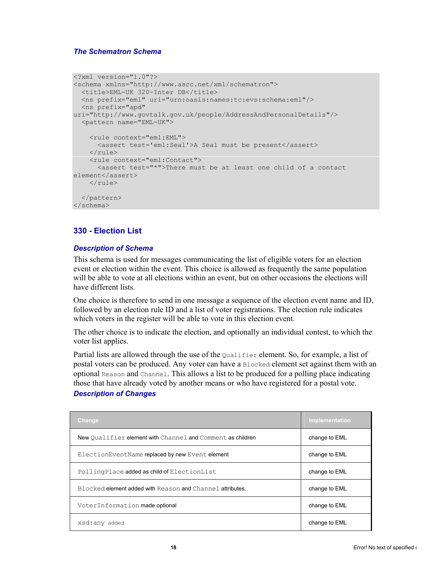```
<?xml version="1.0"?> 
<schema xmlns="http://www.ascc.net/xml/schematron"> 
   <title>EML-UK 320-Inter DB</title> 
  <ns prefix="eml" uri="urn:oasis:names:tc:evs:schema:eml"/> 
  <ns prefix="apd" 
uri="http://www.govtalk.gov.uk/people/AddressAndPersonalDetails"/> 
   <pattern name="EML-UK"> 
     <rule context="eml:EML"> 
       <assert test='eml:Seal'>A Seal must be present</assert> 
    \langle/rule\rangle <rule context="eml:Contact"> 
       <assert test="*">There must be at least one child of a contact 
element</assert> 
    \langle/rule\rangle </pattern> 
</schema>
```
# **330 - Election List**

#### *Description of Schema*

This schema is used for messages communicating the list of eligible voters for an election event or election within the event. This choice is allowed as frequently the same population will be able to vote at all elections within an event, but on other occasions the elections will have different lists.

One choice is therefore to send in one message a sequence of the election event name and ID, followed by an election rule ID and a list of voter registrations. The election rule indicates which voters in the register will be able to vote in this election event.

The other choice is to indicate the election, and optionally an individual contest, to which the voter list applies.

Partial lists are allowed through the use of the Qualifier element. So, for example, a list of postal voters can be produced. Any voter can have a Blocked element set against them with an optional Reason and Channel. This allows a list to be produced for a polling place indicating those that have already voted by another means or who have registered for a postal vote.

| <b>Change</b>                                              | <b>Implementation</b> |
|------------------------------------------------------------|-----------------------|
| New Qualifier element with Channel and Comment as children | change to EML         |
| ElectionEventName replaced by new Event element            | change to EML         |
| PollingPlace added as child of ElectionList                | change to EML         |
| Blocked element added with Reason and Channel attributes.  | change to EML         |
| VoterInformation made optional                             | change to EML         |
| xsd:any added                                              | change to EML         |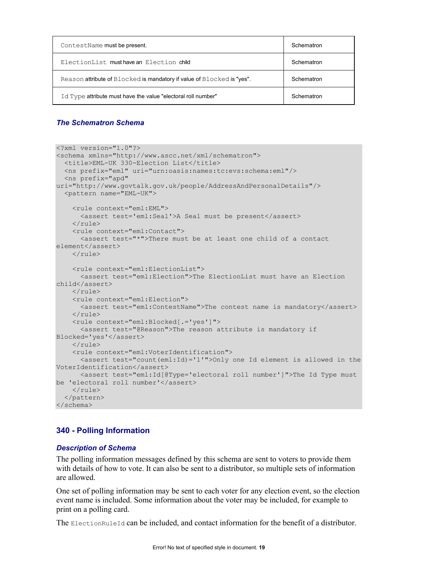| ContestName must be present.                                           | Schematron |
|------------------------------------------------------------------------|------------|
| ElectionList must have an Election child                               | Schematron |
| Reason attribute of Blocked is mandatory if value of Blocked is "yes". | Schematron |
| Id Type attribute must have the value "electoral roll number"          | Schematron |

```
<?xml version="1.0"?> 
<schema xmlns="http://www.ascc.net/xml/schematron"> 
   <title>EML-UK 330-Election List</title> 
   <ns prefix="eml" uri="urn:oasis:names:tc:evs:schema:eml"/> 
  <ns prefix="apd" 
uri="http://www.govtalk.gov.uk/people/AddressAndPersonalDetails"/> 
   <pattern name="EML-UK"> 
     <rule context="eml:EML"> 
       <assert test='eml:Seal'>A Seal must be present</assert> 
    \langlerule>
     <rule context="eml:Contact"> 
       <assert test="*">There must be at least one child of a contact 
element</assert>
    \langlerule>
     <rule context="eml:ElectionList"> 
       <assert test="eml:Election">The ElectionList must have an Election 
child</assert> 
    \langlerule\rangle <rule context="eml:Election"> 
       <assert test="eml:ContestName">The contest name is mandatory</assert> 
    \langlerule\rangle <rule context="eml:Blocked[.='yes']"> 
       <assert test="@Reason">The reason attribute is mandatory if 
Blocked='yes'</assert> 
    \langlerule\rangle <rule context="eml:VoterIdentification"> 
      \zeta <assert test="count(eml:Id)='1'">Only one Id element is allowed in the
VoterIdentification</assert> 
       <assert test="eml:Id[@Type='electoral roll number']">The Id Type must 
be 'electoral roll number'</assert>
    \langlerule>
   </pattern> 
</schema>
```
# **340 - Polling Information**

# *Description of Schema*

The polling information messages defined by this schema are sent to voters to provide them with details of how to vote. It can also be sent to a distributor, so multiple sets of information are allowed.

One set of polling information may be sent to each voter for any election event, so the election event name is included. Some information about the voter may be included, for example to print on a polling card.

The ElectionRuleId can be included, and contact information for the benefit of a distributor.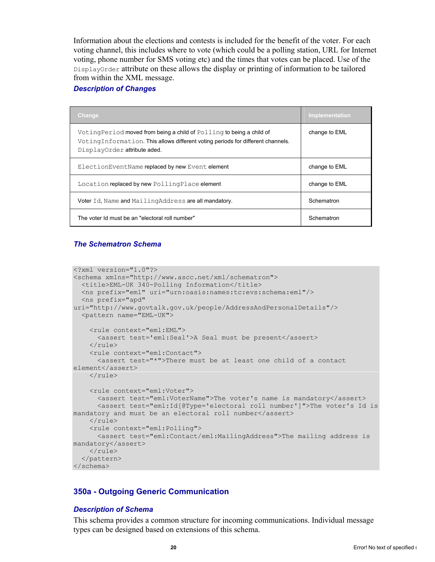Information about the elections and contests is included for the benefit of the voter. For each voting channel, this includes where to vote (which could be a polling station, URL for Internet voting, phone number for SMS voting etc) and the times that votes can be placed. Use of the DisplayOrder attribute on these allows the display or printing of information to be tailored from within the XML message.

#### *Description of Changes*

| <b>Change</b>                                                                                                                                                                            | Implementation |
|------------------------------------------------------------------------------------------------------------------------------------------------------------------------------------------|----------------|
| Voting Period moved from being a child of Polling to being a child of<br>VotingInformation. This allows different voting periods for different channels.<br>DisplayOrder attribute aded. | change to EML  |
| ElectionEventName replaced by new Event element                                                                                                                                          | change to EML  |
| Location replaced by new PollingPlace element                                                                                                                                            | change to EML  |
| Voter Id, Name and MailingAddress are all mandatory.                                                                                                                                     | Schematron     |
| The voter Id must be an "electoral roll number"                                                                                                                                          | Schematron     |

# *The Schematron Schema*

```
<?xml version="1.0"?> 
<schema xmlns="http://www.ascc.net/xml/schematron"> 
   <title>EML-UK 340-Polling Information</title> 
   <ns prefix="eml" uri="urn:oasis:names:tc:evs:schema:eml"/> 
   <ns prefix="apd" 
uri="http://www.govtalk.gov.uk/people/AddressAndPersonalDetails"/> 
   <pattern name="EML-UK"> 
     <rule context="eml:EML"> 
       <assert test='eml:Seal'>A Seal must be present</assert> 
    \langlerule\rangle <rule context="eml:Contact"> 
       <assert test="*">There must be at least one child of a contact 
element</assert> 
    \langlerule>
     <rule context="eml:Voter"> 
      <assert test="eml:VoterName">The voter's name is mandatory</assert>
       <assert test="eml:Id[@Type='electoral roll number']">The voter's Id is 
mandatory and must be an electoral roll number</assert>
    \langlerule\rangle <rule context="eml:Polling"> 
       <assert test="eml:Contact/eml:MailingAddress">The mailing address is 
mandatory</assert> 
     </rule> 
   </pattern> 
</schema>
```
# **350a - Outgoing Generic Communication**

# *Description of Schema*

This schema provides a common structure for incoming communications. Individual message types can be designed based on extensions of this schema.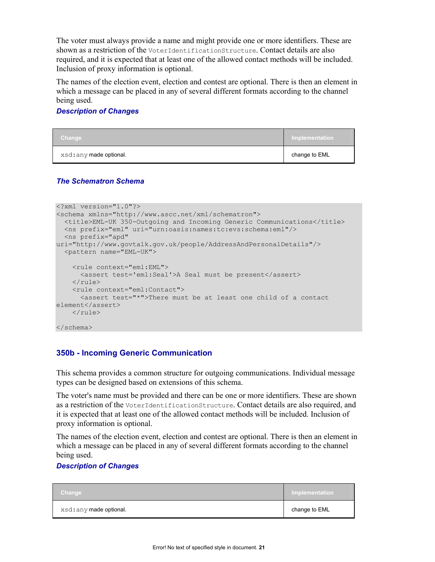The voter must always provide a name and might provide one or more identifiers. These are shown as a restriction of the VoterIdentificationStructure. Contact details are also required, and it is expected that at least one of the allowed contact methods will be included. Inclusion of proxy information is optional.

The names of the election event, election and contest are optional. There is then an element in which a message can be placed in any of several different formats according to the channel being used.

# *Description of Changes*

| Change                  | Implementation |
|-------------------------|----------------|
| xsd: any made optional. | change to EML  |

# *The Schematron Schema*

```
<?xml version="1.0"?> 
<schema xmlns="http://www.ascc.net/xml/schematron"> 
   <title>EML-UK 350-Outgoing and Incoming Generic Communications</title> 
   <ns prefix="eml" uri="urn:oasis:names:tc:evs:schema:eml"/> 
  <ns prefix="apd" 
uri="http://www.govtalk.gov.uk/people/AddressAndPersonalDetails"/> 
   <pattern name="EML-UK"> 
     <rule context="eml:EML"> 
       <assert test='eml:Seal'>A Seal must be present</assert> 
    \langlerule\rangle <rule context="eml:Contact"> 
       <assert test="*">There must be at least one child of a contact 
element</assert> 
    \langlerule>
</schema>
```
# **350b - Incoming Generic Communication**

This schema provides a common structure for outgoing communications. Individual message types can be designed based on extensions of this schema.

The voter's name must be provided and there can be one or more identifiers. These are shown as a restriction of the VoterIdentificationStructure. Contact details are also required, and it is expected that at least one of the allowed contact methods will be included. Inclusion of proxy information is optional.

The names of the election event, election and contest are optional. There is then an element in which a message can be placed in any of several different formats according to the channel being used.

| Change                  | Implementation |
|-------------------------|----------------|
| xsd: any made optional. | change to EML  |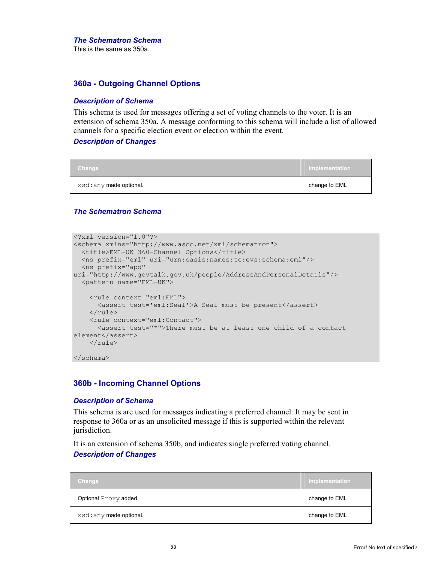This is the same as 350a.

# **360a - Outgoing Channel Options**

#### *Description of Schema*

This schema is used for messages offering a set of voting channels to the voter. It is an extension of schema 350a. A message conforming to this schema will include a list of allowed channels for a specific election event or election within the event.

#### *Description of Changes*

| Change                  | Implementation |
|-------------------------|----------------|
| xsd: any made optional. | change to EML  |

#### *The Schematron Schema*

```
<?xml version="1.0"?> 
<schema xmlns="http://www.ascc.net/xml/schematron"> 
   <title>EML-UK 360-Channel Options</title> 
   <ns prefix="eml" uri="urn:oasis:names:tc:evs:schema:eml"/> 
  <ns prefix="apd" 
uri="http://www.govtalk.gov.uk/people/AddressAndPersonalDetails"/> 
   <pattern name="EML-UK"> 
     <rule context="eml:EML"> 
      <assert test='eml:Seal'>A Seal must be present</assert> 
    \langlerule\rangle <rule context="eml:Contact"> 
       <assert test="*">There must be at least one child of a contact 
element</assert>
    \langle/rule>
</schema>
```
#### **360b - Incoming Channel Options**

#### *Description of Schema*

This schema is are used for messages indicating a preferred channel. It may be sent in response to 360a or as an unsolicited message if this is supported within the relevant jurisdiction.

It is an extension of schema 350b, and indicates single preferred voting channel.

| Change                  | Implementation |
|-------------------------|----------------|
| Optional Proxy added    | change to EML  |
| xsd: any made optional. | change to EML  |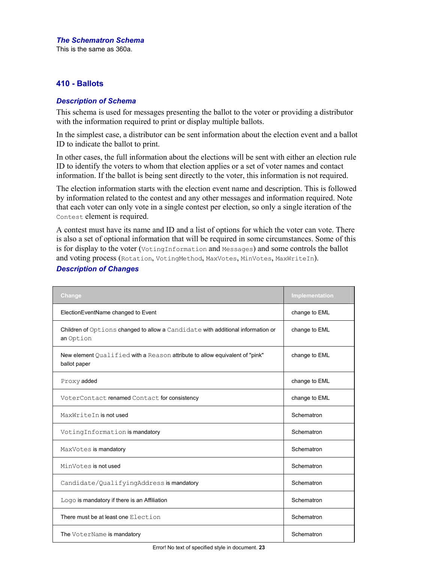This is the same as 360a.

# **410 - Ballots**

### *Description of Schema*

This schema is used for messages presenting the ballot to the voter or providing a distributor with the information required to print or display multiple ballots.

In the simplest case, a distributor can be sent information about the election event and a ballot ID to indicate the ballot to print.

In other cases, the full information about the elections will be sent with either an election rule ID to identify the voters to whom that election applies or a set of voter names and contact information. If the ballot is being sent directly to the voter, this information is not required.

The election information starts with the election event name and description. This is followed by information related to the contest and any other messages and information required. Note that each voter can only vote in a single contest per election, so only a single iteration of the Contest element is required.

A contest must have its name and ID and a list of options for which the voter can vote. There is also a set of optional information that will be required in some circumstances. Some of this is for display to the voter (VotingInformation and Messages) and some controls the ballot and voting process (Rotation, VotingMethod, MaxVotes, MinVotes, MaxWriteIn).

| Change                                                                                       | Implementation |
|----------------------------------------------------------------------------------------------|----------------|
| ElectionEventName changed to Event                                                           | change to EML  |
| Children of Options changed to allow a Candidate with additional information or<br>an Option | change to EML  |
| New element Qualified with a Reason attribute to allow equivalent of "pink"<br>ballot paper  | change to EML  |
| Proxy added                                                                                  | change to EML  |
| VoterContact renamed Contact for consistency                                                 | change to EML  |
| MaxWriteIn is not used                                                                       | Schematron     |
| VotingInformation is mandatory                                                               | Schematron     |
| MaxVotes is mandatory                                                                        | Schematron     |
| MinVotes is not used                                                                         | Schematron     |
| Candidate/QualifyingAddress is mandatory                                                     | Schematron     |
| Logo is mandatory if there is an Affiliation                                                 | Schematron     |
| There must be at least one Election                                                          | Schematron     |
| The VoterName is mandatory                                                                   | Schematron     |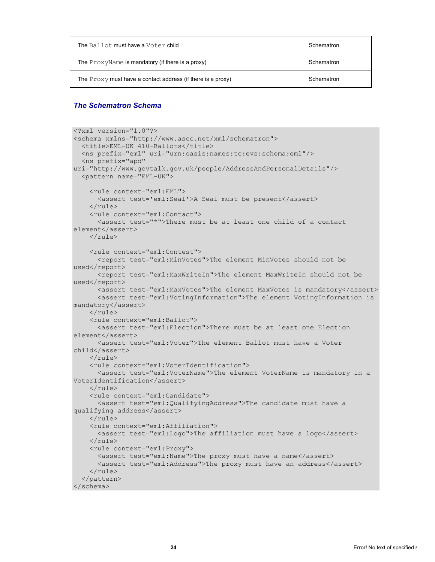| The Ballot must have a Voter child                            | Schematron |
|---------------------------------------------------------------|------------|
| The ProxyName is mandatory (if there is a proxy)              | Schematron |
| The $Proxy$ must have a contact address (if there is a proxy) | Schematron |

```
<?xml version="1.0"?> 
<schema xmlns="http://www.ascc.net/xml/schematron"> 
   <title>EML-UK 410-Ballots</title> 
   <ns prefix="eml" uri="urn:oasis:names:tc:evs:schema:eml"/> 
   <ns prefix="apd" 
uri="http://www.govtalk.gov.uk/people/AddressAndPersonalDetails"/> 
   <pattern name="EML-UK"> 
     <rule context="eml:EML"> 
       <assert test='eml:Seal'>A Seal must be present</assert> 
    \langlerule>
     <rule context="eml:Contact"> 
       <assert test="*">There must be at least one child of a contact 
element</assert> 
    \langle/rule>
     <rule context="eml:Contest"> 
       <report test="eml:MinVotes">The element MinVotes should not be 
used</report>
       <report test="eml:MaxWriteIn">The element MaxWriteIn should not be 
used</report>
       <assert test="eml:MaxVotes">The element MaxVotes is mandatory</assert> 
       <assert test="eml:VotingInformation">The element VotingInformation is 
mandatory</assert> 
    \langlerule>
     <rule context="eml:Ballot"> 
       <assert test="eml:Election">There must be at least one Election 
element</assert> 
       <assert test="eml:Voter">The element Ballot must have a Voter 
child</assert> 
    \langlerule>
     <rule context="eml:VoterIdentification"> 
       <assert test="eml:VoterName">The element VoterName is mandatory in a 
VoterIdentification</assert> 
    \langle/rule>
     <rule context="eml:Candidate"> 
       <assert test="eml:QualifyingAddress">The candidate must have a 
qualifying address</assert> 
    \langle/rule\rangle <rule context="eml:Affiliation"> 
       <assert test="eml:Logo">The affiliation must have a logo</assert> 
    \langlerule\rangle <rule context="eml:Proxy"> 
      <assert test="eml:Name">The proxy must have a name</assert>
       <assert test="eml:Address">The proxy must have an address</assert> 
    \langle/rule>
   </pattern> 
</schema>
```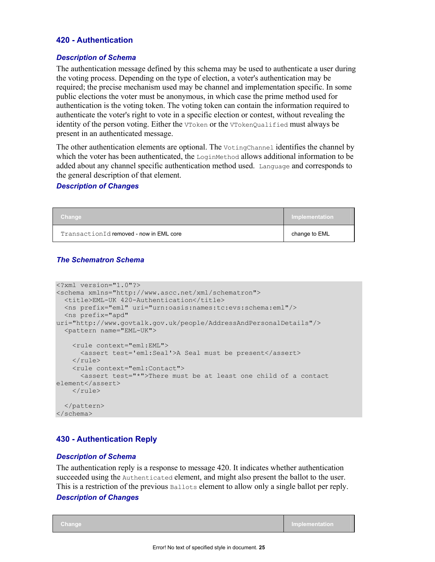# **420 - Authentication**

#### *Description of Schema*

The authentication message defined by this schema may be used to authenticate a user during the voting process. Depending on the type of election, a voter's authentication may be required; the precise mechanism used may be channel and implementation specific. In some public elections the voter must be anonymous, in which case the prime method used for authentication is the voting token. The voting token can contain the information required to authenticate the voter's right to vote in a specific election or contest, without revealing the identity of the person voting. Either the VToken or the VTokenQualified must always be present in an authenticated message.

The other authentication elements are optional. The VotingChannel identifies the channel by which the voter has been authenticated, the  $\text{LoginMethod}$  allows additional information to be added about any channel specific authentication method used. Language and corresponds to the general description of that element.

#### *Description of Changes*

| Change                                  | Implementation |
|-----------------------------------------|----------------|
| TransactionId removed - now in EML core | change to EML  |

### *The Schematron Schema*

```
<?xml version="1.0"?> 
<schema xmlns="http://www.ascc.net/xml/schematron"> 
  <title>EML-UK 420-Authentication</title> 
   <ns prefix="eml" uri="urn:oasis:names:tc:evs:schema:eml"/> 
  <ns prefix="apd" 
uri="http://www.govtalk.gov.uk/people/AddressAndPersonalDetails"/> 
   <pattern name="EML-UK"> 
     <rule context="eml:EML"> 
      <assert test='eml:Seal'>A Seal must be present</assert> 
    \langle/rule\rangle <rule context="eml:Contact"> 
       <assert test="*">There must be at least one child of a contact 
element</assert>
    \langlerule>
   </pattern> 
</schema>
```
# **430 - Authentication Reply**

#### *Description of Schema*

The authentication reply is a response to message 420. It indicates whether authentication succeeded using the Authenticated element, and might also present the ballot to the user. This is a restriction of the previous Ballots element to allow only a single ballot per reply.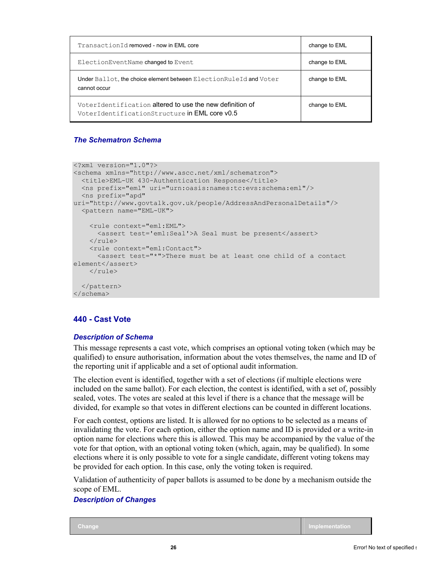| TransactionId removed - now in EML core                                                                   | change to EML |
|-----------------------------------------------------------------------------------------------------------|---------------|
| ElectionEventName changed to Event                                                                        | change to EML |
| Under Ballot, the choice element between Election RuleId and Voter<br>cannot occur                        | change to EML |
| VoterIdentification altered to use the new definition of<br>VoterIdentificationStructure in EML core v0.5 | change to EML |

```
<?xml version="1.0"?> 
<schema xmlns="http://www.ascc.net/xml/schematron"> 
   <title>EML-UK 430-Authentication Response</title> 
   <ns prefix="eml" uri="urn:oasis:names:tc:evs:schema:eml"/> 
   <ns prefix="apd" 
uri="http://www.govtalk.gov.uk/people/AddressAndPersonalDetails"/> 
   <pattern name="EML-UK"> 
     <rule context="eml:EML"> 
       <assert test='eml:Seal'>A Seal must be present</assert> 
    \langlerule\rangle <rule context="eml:Contact"> 
       <assert test="*">There must be at least one child of a contact 
element</assert> 
    \langlerule>
   </pattern> 
</schema>
```
# **440 - Cast Vote**

# *Description of Schema*

This message represents a cast vote, which comprises an optional voting token (which may be qualified) to ensure authorisation, information about the votes themselves, the name and ID of the reporting unit if applicable and a set of optional audit information.

The election event is identified, together with a set of elections (if multiple elections were included on the same ballot). For each election, the contest is identified, with a set of, possibly sealed, votes. The votes are sealed at this level if there is a chance that the message will be divided, for example so that votes in different elections can be counted in different locations.

For each contest, options are listed. It is allowed for no options to be selected as a means of invalidating the vote. For each option, either the option name and ID is provided or a write-in option name for elections where this is allowed. This may be accompanied by the value of the vote for that option, with an optional voting token (which, again, may be qualified). In some elections where it is only possible to vote for a single candidate, different voting tokens may be provided for each option. In this case, only the voting token is required.

Validation of authenticity of paper ballots is assumed to be done by a mechanism outside the scope of EML.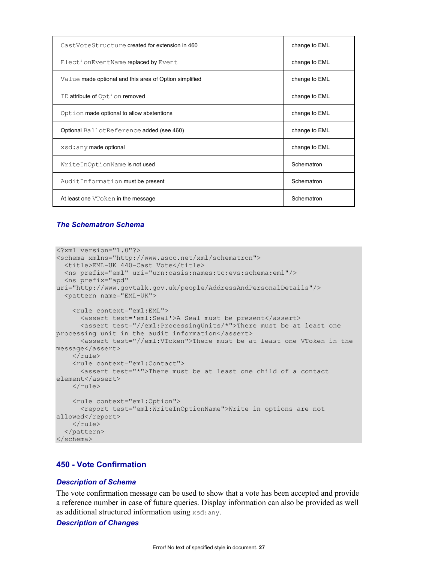| CastVoteStructure created for extension in 460         | change to EML |
|--------------------------------------------------------|---------------|
| ElectionEventName replaced by Event                    | change to EML |
| Value made optional and this area of Option simplified | change to EML |
| ID attribute of Option removed                         | change to EML |
| Option made optional to allow abstentions              | change to EML |
| Optional BallotReference added (see 460)               | change to EML |
| xsd: any made optional                                 | change to EML |
| WriteInOptionName is not used                          | Schematron    |
| AuditInformation must be present                       | Schematron    |
| At least one VToken in the message                     | Schematron    |

```
<?xml version="1.0"?> 
<schema xmlns="http://www.ascc.net/xml/schematron"> 
   <title>EML-UK 440-Cast Vote</title> 
   <ns prefix="eml" uri="urn:oasis:names:tc:evs:schema:eml"/> 
   <ns prefix="apd" 
uri="http://www.govtalk.gov.uk/people/AddressAndPersonalDetails"/> 
   <pattern name="EML-UK"> 
     <rule context="eml:EML"> 
       <assert test='eml:Seal'>A Seal must be present</assert> 
       <assert test="//eml:ProcessingUnits/*">There must be at least one 
processing unit in the audit information</assert>
       <assert test="//eml:VToken">There must be at least one VToken in the 
message</assert> 
    \langlerule\rangle <rule context="eml:Contact"> 
       <assert test="*">There must be at least one child of a contact 
element</assert>
    \langle/rule>
     <rule context="eml:Option"> 
       <report test="eml:WriteInOptionName">Write in options are not 
allowed</report>
    \langlerule>
   </pattern> 
</schema>
```
# **450 - Vote Confirmation**

#### *Description of Schema*

The vote confirmation message can be used to show that a vote has been accepted and provide a reference number in case of future queries. Display information can also be provided as well as additional structured information using xsd:any.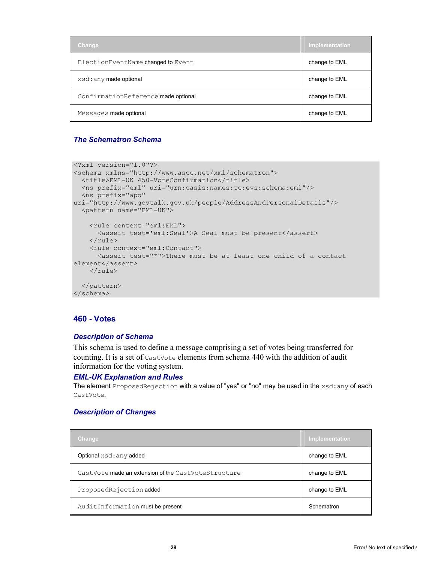| Change                              | Implementation |
|-------------------------------------|----------------|
| ElectionEventName changed to Event  | change to EML  |
| xsd: any made optional              | change to EML  |
| ConfirmationReference made optional | change to EML  |
| Messages made optional              | change to EML  |

```
<?xml version="1.0"?> 
<schema xmlns="http://www.ascc.net/xml/schematron"> 
   <title>EML-UK 450-VoteConfirmation</title> 
   <ns prefix="eml" uri="urn:oasis:names:tc:evs:schema:eml"/> 
   <ns prefix="apd" 
uri="http://www.govtalk.gov.uk/people/AddressAndPersonalDetails"/> 
   <pattern name="EML-UK"> 
    <rule context="eml:EML"> 
      <assert test='eml:Seal'>A Seal must be present</assert> 
    \langlerule\rangle <rule context="eml:Contact"> 
       <assert test="*">There must be at least one child of a contact 
element</assert>
    \langlerule>
   </pattern> 
</schema>
```
#### **460 - Votes**

#### *Description of Schema*

This schema is used to define a message comprising a set of votes being transferred for counting. It is a set of CastVote elements from schema 440 with the addition of audit information for the voting system.

#### *EML-UK Explanation and Rules*

The element ProposedRejection with a value of "yes" or "no" may be used in the xsd: any of each CastVote.

| <u>/Change</u>                                      | Implementation |
|-----------------------------------------------------|----------------|
| Optional xsd: any added                             | change to EML  |
| CastVote made an extension of the CastVoteStructure | change to EML  |
| ProposedRejectionadded                              | change to EML  |
| AuditInformation must be present                    | Schematron     |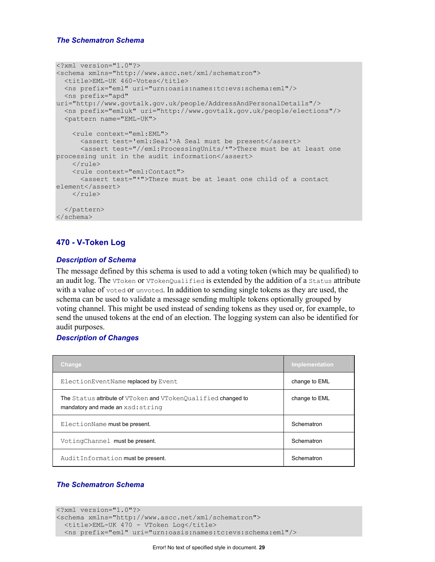```
<?xml version="1.0"?> 
<schema xmlns="http://www.ascc.net/xml/schematron"> 
  <title>EML-UK 460-Votes</title> 
   <ns prefix="eml" uri="urn:oasis:names:tc:evs:schema:eml"/> 
  <ns prefix="apd" 
uri="http://www.govtalk.gov.uk/people/AddressAndPersonalDetails"/> 
  <ns prefix="emluk" uri="http://www.govtalk.gov.uk/people/elections"/> 
   <pattern name="EML-UK"> 
     <rule context="eml:EML"> 
       <assert test='eml:Seal'>A Seal must be present</assert> 
       <assert test="//eml:ProcessingUnits/*">There must be at least one 
processing unit in the audit information</assert>
    \langlerule\rangle <rule context="eml:Contact"> 
       <assert test="*">There must be at least one child of a contact 
element</assert>
    \langlerule\rangle </pattern> 
</schema>
```
# **470 - V-Token Log**

#### *Description of Schema*

The message defined by this schema is used to add a voting token (which may be qualified) to an audit log. The VToken or VTokenQualified is extended by the addition of a Status attribute with a value of voted or unvoted. In addition to sending single tokens as they are used, the schema can be used to validate a message sending multiple tokens optionally grouped by voting channel. This might be used instead of sending tokens as they used or, for example, to send the unused tokens at the end of an election. The logging system can also be identified for audit purposes.

# *Description of Changes*

| <b>Change</b>                                                                                      | Implementation |
|----------------------------------------------------------------------------------------------------|----------------|
| ElectionEventName replaced by Event                                                                | change to EML  |
| The Status attribute of VToken and VTokenQualified changed to<br>mandatory and made an xsd: string | change to EML  |
| ElectionName must be present.                                                                      | Schematron     |
| VotingChannel must be present.                                                                     | Schematron     |
| AuditInformation must be present.                                                                  | Schematron     |

```
<?xml version="1.0"?> 
<schema xmlns="http://www.ascc.net/xml/schematron"> 
 <title>EML-UK 470 - VToken Log</title>
  <ns prefix="eml" uri="urn:oasis:names:tc:evs:schema:eml"/>
```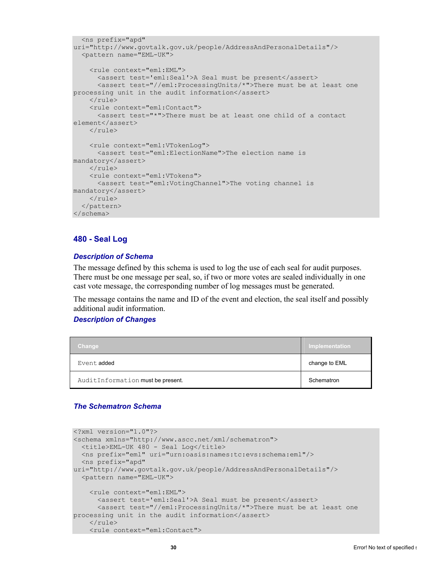```
 <ns prefix="apd" 
uri="http://www.govtalk.gov.uk/people/AddressAndPersonalDetails"/> 
   <pattern name="EML-UK"> 
     <rule context="eml:EML"> 
       <assert test='eml:Seal'>A Seal must be present</assert> 
       <assert test="//eml:ProcessingUnits/*">There must be at least one 
processing unit in the audit information</assert> 
    \langle/rule\rangle <rule context="eml:Contact"> 
      \zeta assert test="*">There must be at least one child of a contact
element</assert> 
    \langlerule\rangle <rule context="eml:VTokenLog"> 
       <assert test="eml:ElectionName">The election name is 
mandatory</assert> 
    \langlerule>
     <rule context="eml:VTokens"> 
       <assert test="eml:VotingChannel">The voting channel is 
mandatory</assert> 
    </rule> 
   </pattern> 
</schema>
```
# **480 - Seal Log**

#### *Description of Schema*

The message defined by this schema is used to log the use of each seal for audit purposes. There must be one message per seal, so, if two or more votes are sealed individually in one cast vote message, the corresponding number of log messages must be generated.

The message contains the name and ID of the event and election, the seal itself and possibly additional audit information.

#### *Description of Changes*

| Change                            | Implementation |
|-----------------------------------|----------------|
| Event added                       | change to EML  |
| AuditInformation must be present. | Schematron     |

```
<?xml version="1.0"?> 
<schema xmlns="http://www.ascc.net/xml/schematron"> 
   <title>EML-UK 480 - Seal Log</title> 
   <ns prefix="eml" uri="urn:oasis:names:tc:evs:schema:eml"/> 
  <ns prefix="apd" 
uri="http://www.govtalk.gov.uk/people/AddressAndPersonalDetails"/> 
   <pattern name="EML-UK"> 
     <rule context="eml:EML"> 
       <assert test='eml:Seal'>A Seal must be present</assert> 
       <assert test="//eml:ProcessingUnits/*">There must be at least one 
processing unit in the audit information</assert> 
    \langlerule>
     <rule context="eml:Contact">
```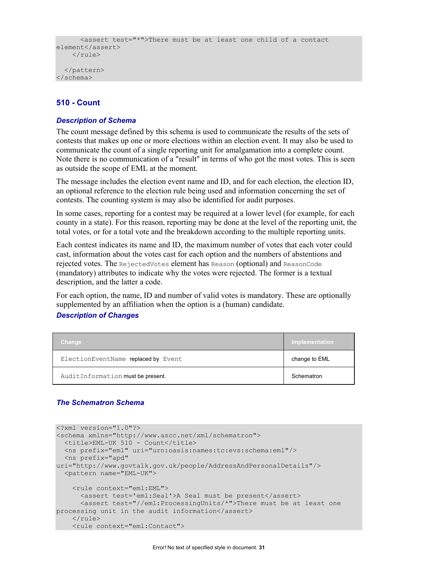```
 <assert test="*">There must be at least one child of a contact 
element</assert>
    \langlerule\rangle </pattern> 
</schema>
```
# **510 - Count**

#### *Description of Schema*

The count message defined by this schema is used to communicate the results of the sets of contests that makes up one or more elections within an election event. It may also be used to communicate the count of a single reporting unit for amalgamation into a complete count. Note there is no communication of a "result" in terms of who got the most votes. This is seen as outside the scope of EML at the moment.

The message includes the election event name and ID, and for each election, the election ID, an optional reference to the election rule being used and information concerning the set of contests. The counting system is may also be identified for audit purposes.

In some cases, reporting for a contest may be required at a lower level (for example, for each county in a state). For this reason, reporting may be done at the level of the reporting unit, the total votes, or for a total vote and the breakdown according to the multiple reporting units.

Each contest indicates its name and ID, the maximum number of votes that each voter could cast, information about the votes cast for each option and the numbers of abstentions and rejected votes. The RejectedVotes element has Reason (optional) and ReasonCode (mandatory) attributes to indicate why the votes were rejected. The former is a textual description, and the latter a code.

For each option, the name, ID and number of valid votes is mandatory. These are optionally supplemented by an affiliation when the option is a (human) candidate.

#### *Description of Changes*

| <b>Change</b>                       | Implementation |
|-------------------------------------|----------------|
| ElectionEventName replaced by Event | change to EML  |
| AuditInformation must be present.   | Schematron     |

```
<?xml version="1.0"?> 
<schema xmlns="http://www.ascc.net/xml/schematron"> 
   <title>EML-UK 510 - Count</title> 
   <ns prefix="eml" uri="urn:oasis:names:tc:evs:schema:eml"/> 
   <ns prefix="apd" 
uri="http://www.govtalk.gov.uk/people/AddressAndPersonalDetails"/> 
   <pattern name="EML-UK"> 
     <rule context="eml:EML"> 
       <assert test='eml:Seal'>A Seal must be present</assert> 
       <assert test="//eml:ProcessingUnits/*">There must be at least one 
processing unit in the audit information</assert>
    \langlerule\rangle <rule context="eml:Contact">
```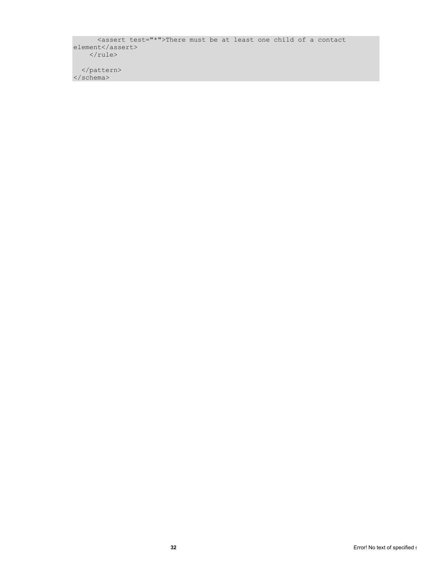<assert test="\*">There must be at least one child of a contact element</assert>  $\langle$ rule $\rangle$ 

 </pattern> </schema>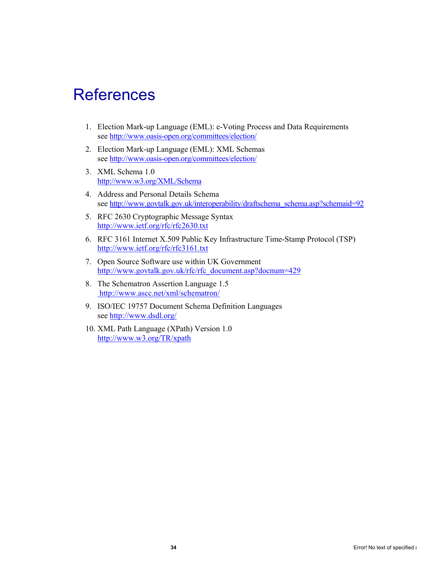# **References**

- 1. Election Mark-up Language (EML): e-Voting Process and Data Requirements see http://www.oasis-open.org/committees/election/
- 2. Election Mark-up Language (EML): XML Schemas see http://www.oasis-open.org/committees/election/
- 3. XML Schema 1.0 http://www.w3.org/XML/Schema
- 4. Address and Personal Details Schema see http://www.govtalk.gov.uk/interoperability/draftschema\_schema.asp?schemaid=92
- 5. RFC 2630 Cryptographic Message Syntax http://www.ietf.org/rfc/rfc2630.txt
- 6. RFC 3161 Internet X.509 Public Key Infrastructure Time-Stamp Protocol (TSP) http://www.ietf.org/rfc/rfc3161.txt
- 7. Open Source Software use within UK Government http://www.govtalk.gov.uk/rfc/rfc\_document.asp?docnum=429
- 8. The Schematron Assertion Language 1.5 http://www.ascc.net/xml/schematron/
- 9. ISO/IEC 19757 Document Schema Definition Languages see http://www.dsdl.org/
- 10. XML Path Language (XPath) Version 1.0 http://www.w3.org/TR/xpath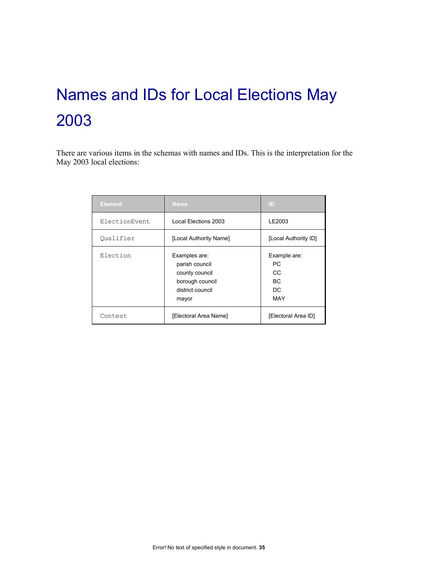# Names and IDs for Local Elections May 2003

There are various items in the schemas with names and IDs. This is the interpretation for the May 2003 local elections:

| <b>Element</b> | <b>Name</b>                                                                                       | ID                                                   |
|----------------|---------------------------------------------------------------------------------------------------|------------------------------------------------------|
| ElectionEvent  | Local Elections 2003                                                                              | LE2003                                               |
| Oualifier      | [Local Authority Name]                                                                            | [Local Authority ID]                                 |
| Election       | Examples are:<br>parish council<br>county council<br>borough council<br>district council<br>mayor | Example are:<br>РC<br>CC.<br>ВC<br>DC.<br><b>MAY</b> |
| Contest        | [Electoral Area Name]                                                                             | [Electoral Area ID]                                  |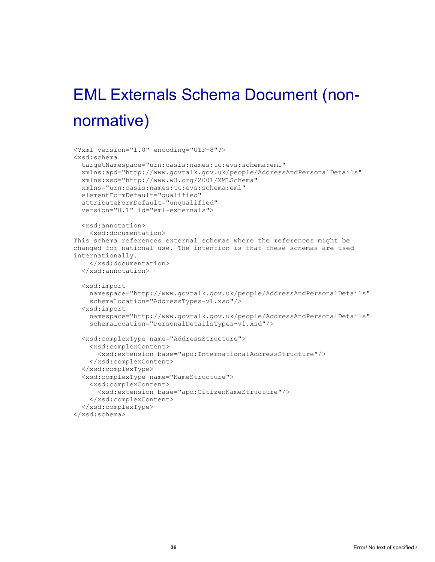# EML Externals Schema Document (nonnormative)

```
<?xml version="1.0" encoding="UTF-8"?> 
<xsd:schema 
   targetNamespace="urn:oasis:names:tc:evs:schema:eml" 
  xmlns:apd="http://www.govtalk.gov.uk/people/AddressAndPersonalDetails" 
  xmlns:xsd="http://www.w3.org/2001/XMLSchema" 
  xmlns="urn:oasis:names:tc:evs:schema:eml" 
  elementFormDefault="qualified" 
  attributeFormDefault="unqualified" 
  version="0.1" id="eml-externals"> 
  <xsd:annotation> 
     <xsd:documentation> 
This schema references external schemas where the references might be 
changed for national use. The intention is that these schemas are used 
internationally. 
    </xsd:documentation> 
  </xsd:annotation> 
  <xsd:import 
    namespace="http://www.govtalk.gov.uk/people/AddressAndPersonalDetails" 
     schemaLocation="AddressTypes-v1.xsd"/> 
   <xsd:import 
    namespace="http://www.govtalk.gov.uk/people/AddressAndPersonalDetails" 
     schemaLocation="PersonalDetailsTypes-v1.xsd"/> 
   <xsd:complexType name="AddressStructure"> 
     <xsd:complexContent> 
       <xsd:extension base="apd:InternationalAddressStructure"/> 
     </xsd:complexContent> 
   </xsd:complexType> 
   <xsd:complexType name="NameStructure"> 
     <xsd:complexContent> 
       <xsd:extension base="apd:CitizenNameStructure"/> 
     </xsd:complexContent> 
   </xsd:complexType> 
</xsd:schema>
```